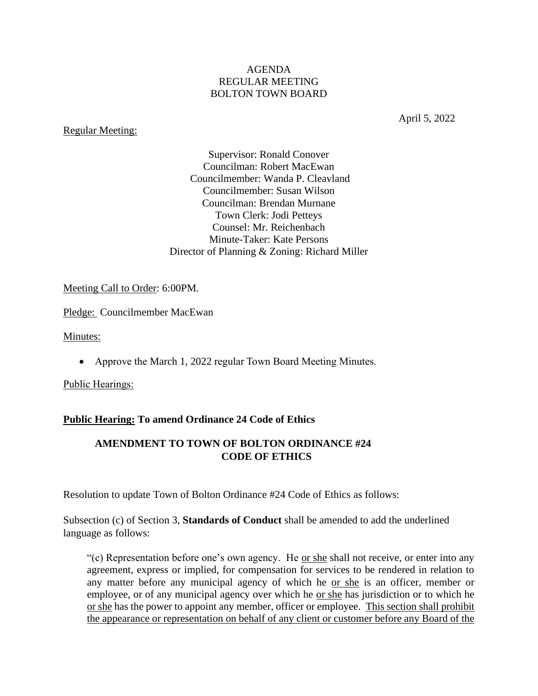### AGENDA REGULAR MEETING BOLTON TOWN BOARD

### Regular Meeting:

April 5, 2022

Supervisor: Ronald Conover Councilman: Robert MacEwan Councilmember: Wanda P. Cleavland Councilmember: Susan Wilson Councilman: Brendan Murnane Town Clerk: Jodi Petteys Counsel: Mr. Reichenbach Minute-Taker: Kate Persons Director of Planning & Zoning: Richard Miller

Meeting Call to Order: 6:00PM.

Pledge: Councilmember MacEwan

Minutes:

• Approve the March 1, 2022 regular Town Board Meeting Minutes.

Public Hearings:

## **Public Hearing: To amend Ordinance 24 Code of Ethics**

## **AMENDMENT TO TOWN OF BOLTON ORDINANCE #24 CODE OF ETHICS**

Resolution to update Town of Bolton Ordinance #24 Code of Ethics as follows:

Subsection (c) of Section 3, **Standards of Conduct** shall be amended to add the underlined language as follows:

"(c) Representation before one's own agency. He or she shall not receive, or enter into any agreement, express or implied, for compensation for services to be rendered in relation to any matter before any municipal agency of which he or she is an officer, member or employee, or of any municipal agency over which he <u>or she</u> has jurisdiction or to which he or she has the power to appoint any member, officer or employee. This section shall prohibit the appearance or representation on behalf of any client or customer before any Board of the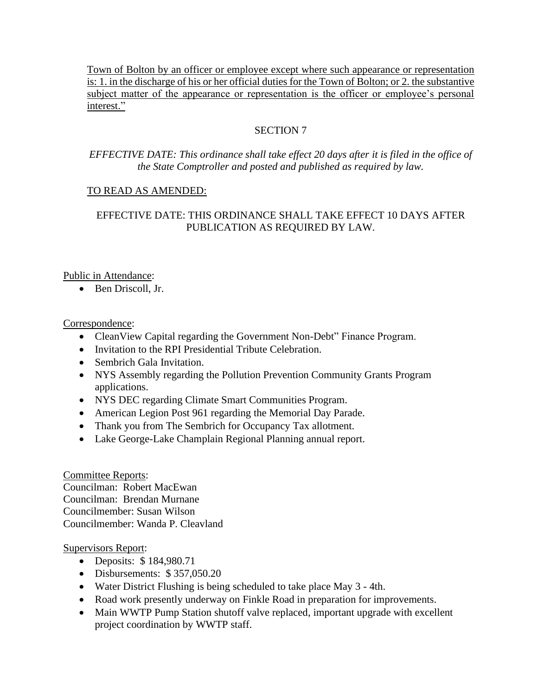Town of Bolton by an officer or employee except where such appearance or representation is: 1. in the discharge of his or her official duties for the Town of Bolton; or 2. the substantive subject matter of the appearance or representation is the officer or employee's personal interest."

# SECTION 7

## *EFFECTIVE DATE: This ordinance shall take effect 20 days after it is filed in the office of the State Comptroller and posted and published as required by law.*

# TO READ AS AMENDED:

# EFFECTIVE DATE: THIS ORDINANCE SHALL TAKE EFFECT 10 DAYS AFTER PUBLICATION AS REQUIRED BY LAW.

## Public in Attendance:

• Ben Driscoll, Jr.

### Correspondence:

- Clean View Capital regarding the Government Non-Debt" Finance Program.
- Invitation to the RPI Presidential Tribute Celebration.
- Sembrich Gala Invitation.
- NYS Assembly regarding the Pollution Prevention Community Grants Program applications.
- NYS DEC regarding Climate Smart Communities Program.
- American Legion Post 961 regarding the Memorial Day Parade.
- Thank you from The Sembrich for Occupancy Tax allotment.
- Lake George-Lake Champlain Regional Planning annual report.

## Committee Reports:

Councilman: Robert MacEwan Councilman: Brendan Murnane Councilmember: Susan Wilson Councilmember: Wanda P. Cleavland

## Supervisors Report:

- Deposits: \$ 184,980.71
- Disbursements: \$357,050.20
- Water District Flushing is being scheduled to take place May 3 4th.
- Road work presently underway on Finkle Road in preparation for improvements.
- Main WWTP Pump Station shutoff valve replaced, important upgrade with excellent project coordination by WWTP staff.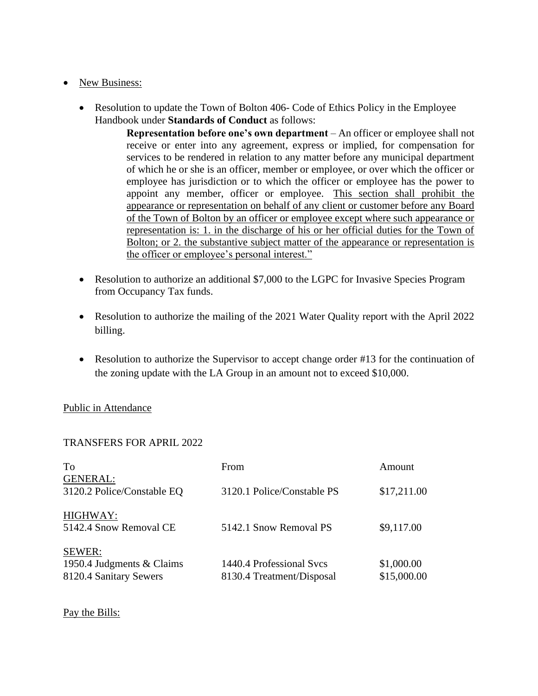## • New Business:

• Resolution to update the Town of Bolton 406- Code of Ethics Policy in the Employee Handbook under **Standards of Conduct** as follows:

> **Representation before one's own department** – An officer or employee shall not receive or enter into any agreement, express or implied, for compensation for services to be rendered in relation to any matter before any municipal department of which he or she is an officer, member or employee, or over which the officer or employee has jurisdiction or to which the officer or employee has the power to appoint any member, officer or employee. This section shall prohibit the appearance or representation on behalf of any client or customer before any Board of the Town of Bolton by an officer or employee except where such appearance or representation is: 1. in the discharge of his or her official duties for the Town of Bolton; or 2. the substantive subject matter of the appearance or representation is the officer or employee's personal interest."

- Resolution to authorize an additional \$7,000 to the LGPC for Invasive Species Program from Occupancy Tax funds.
- Resolution to authorize the mailing of the 2021 Water Quality report with the April 2022 billing.
- Resolution to authorize the Supervisor to accept change order #13 for the continuation of the zoning update with the LA Group in an amount not to exceed \$10,000.

### Public in Attendance

### TRANSFERS FOR APRIL 2022

| To                                                  | From                                                  | Amount                    |
|-----------------------------------------------------|-------------------------------------------------------|---------------------------|
| <b>GENERAL:</b><br>3120.2 Police/Constable EQ       | 3120.1 Police/Constable PS                            | \$17,211.00               |
| HIGHWAY:<br>5142.4 Snow Removal CE                  | 5142.1 Snow Removal PS                                | \$9,117.00                |
| SEWER:                                              |                                                       |                           |
| 1950.4 Judgments & Claims<br>8120.4 Sanitary Sewers | 1440.4 Professional Svcs<br>8130.4 Treatment/Disposal | \$1,000.00<br>\$15,000.00 |

### Pay the Bills: